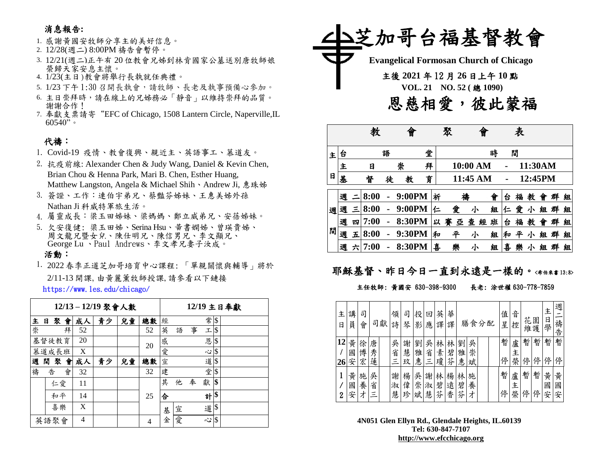### 消息報告**:**

- 1. 感謝黃國安牧師分享主的美好信息。
- 2. 12/28(週二) 8:00PM 禱告會暫停。
- 3. 12/21(週二)正午有 20 位教會兄姊到林肯國家公墓送別唐牧師娘 榮歸天家安息主懷。
- 4. 1/23(主日)教會將舉行長執就任典禮。
- 5. 1/23 下午 1:30 召開長執會,請牧師、長老及執事預備心參加。
- 6. 主日崇拜時,請在線上的兄姊務必「靜音」以維持崇拜的品質。 謝謝合作!
- 7. 奉獻支票請寄"EFC of Chicago, 1508 Lantern Circle, Naperville,IL  $60540"$

## 代禱:

- 1. Covid-19 疫情、教會復興、親近主、英語事工、慕道友。
- 2. 抗疫前線: Alexander Chen & Judy Wang, Daniel & Kevin Chen, Brian Chou & Henna Park, Mari B. Chen, Esther Huang, Matthew Langston, Angela & Michael Shih、Andrew Ji, 惠珠姊
- 3. 簽證、工作:連伯宇弟兄、蔡豔芬姊妹、王惠美姊外孫 Nathan Ji 科威特軍旅生活。
- 4. 屬靈成長:梁玉田姊妹、梁媽媽、鄭立威弟兄、安蓓姊妹。
- 5. 欠安復健: 梁玉田姊、Serina Hsu、黃書嫻姊、曾瑛貴姊、 周文龍兄暨女兒、陳仕明兄、陳信男兄、李文顯兄、 George Lu 、Paul Andrews、李文孝兄妻子汝成。

#### 活動:

1. 2022 春季正道芝加哥培育中心課程: 「單親關懷與輔導」將於 2/11-13 開課,由黃麗薰牧師授課,請參看以下鏈接

https://www.les.edu/chicago/

|       |    |    |   |    | 12/13-12/19 聚會人數 | 12/19 主日奉獻 |    |   |   |   |          |     |  |
|-------|----|----|---|----|------------------|------------|----|---|---|---|----------|-----|--|
| 主     | 日  | 聚  | 會 | 成人 | 青少               | 兒童         | 總數 | 經 |   |   | 常        | \$  |  |
| 崇     |    |    | 拜 | 52 |                  |            | 52 | 英 | 語 | 事 | 工        | \$  |  |
| 基督徒教育 |    |    |   | 20 |                  |            | 20 | 感 |   |   | 恩        | S   |  |
| 慕道成長班 |    |    |   | X  |                  |            |    | 愛 |   |   | 心        | I\$ |  |
| 週     | 閒  | 聚  | 會 | 成人 | 青少               | 兒童         | 總數 | 宣 |   |   | 道        | I\$ |  |
| 禱     | 告  |    | 會 | 32 |                  |            | 32 | 建 |   |   | 堂        | \$  |  |
|       |    | 仁愛 |   | 11 |                  |            |    | 其 | 他 | 奉 | 獻        | \$  |  |
|       | 和平 |    |   | 14 |                  |            | 25 | 合 |   |   | 計        | \$  |  |
|       | 喜樂 |    | X |    |                  |            | 基  | 宣 |   | 道 | <b>S</b> |     |  |
| 英語聚會  |    |    |   | 4  |                  |            | 4  | 金 | 愛 |   | 心        | I\$ |  |



|   |   |   |      |   | 曾      |   |   | 聚      | 曾        |   |   | 表 |         |   |   |   |
|---|---|---|------|---|--------|---|---|--------|----------|---|---|---|---------|---|---|---|
| 主 | 台 |   |      | 語 |        | 堂 |   |        |          | 時 |   | 間 |         |   |   |   |
|   | 主 |   | 日    |   | 崇      | 拜 |   |        | 10:00 AM |   |   |   | 11:30AM |   |   |   |
| 日 | 基 |   | 督    | 徒 | 教      | 育 |   |        | 11:45 AM |   |   |   | 12:45PM |   |   |   |
|   | 週 |   | 8:00 |   | 9:00PM |   | 祈 | 襽      |          | 會 | 台 | 福 | 教       | 曾 | 群 | 組 |
| 週 | 週 | Ξ | 8:00 |   | 9:00PM |   | 仁 | 愛      | 小        | 組 | 仁 | 愛 | 小       | 組 | 群 | 組 |
|   | 週 | 四 | 7:00 |   | 8:30PM |   | 以 | 賽<br>亞 | 查<br>經   | 班 | 台 | 福 | 教       | 會 | 群 | 組 |
| 間 | 週 | 五 | 8:00 |   | 9:30PM |   | 和 | 平      | 小        | 組 | 和 | 平 | 小       | 組 | 群 | 組 |
|   | 週 | 六 | 7:00 |   | 8:30PM |   | 喜 | 樂      | 小        | 組 | 喜 | 樂 | 小       | 組 |   | 組 |

## 耶穌基督、昨日今日一直到永遠是一樣的。<希伯來書13:8>

#### 主任牧師: 黃國安 630-398-9300 長老: 涂世權 630-778-7859

| 主<br>日   | 講<br>員      | 司<br>會      |             | 司獻 | 領<br>詩      | 司<br>琴      | 投<br>影      | 旦<br>應      | 英<br>譯      | 華<br>譯      |             | 膳食分配        |  | 值<br>星 | 音<br>控      | 花      | 園<br>維護 | 主<br>日<br>學 | 週<br>禱<br>告 |
|----------|-------------|-------------|-------------|----|-------------|-------------|-------------|-------------|-------------|-------------|-------------|-------------|--|--------|-------------|--------|---------|-------------|-------------|
| 12<br>26 | 黄<br>國<br>安 | 徐<br>博<br>宏 | 唐<br>秀<br>蓮 |    | 吳<br>省<br>三 | 謝<br>慧<br>玟 | 劉<br>雅<br>惠 | 吳<br>省<br>Ξ | 林<br>素<br>瓊 | 林<br>碧<br>芬 | 劉<br>雅<br>惠 | 吳<br>崇<br>斌 |  | 暫<br>停 | 盧<br>主<br>榮 | 暫<br>停 | 暫<br>停  | 暫<br>停      | 暫<br>停      |
| 2        | 黃<br>國<br>安 | 施<br>養<br>才 | 吳<br>省<br>Ξ |    | 謝<br>淑<br>慧 | 楊<br>偉<br>珍 | 吳<br>崇<br>斌 | 謝<br>淑<br>慧 | 林<br>碧<br>芬 | 楊<br>遠<br>香 | 林<br>碧<br>芬 | 施<br>養<br>才 |  | 暫<br>停 | 盧<br>主<br>榮 | 暫<br>停 | 暫<br>停  | 黄<br>國<br>安 | 黃<br>國<br>安 |

**4N051 Glen Ellyn Rd., Glendale Heights, IL.60139 Tel: 630-847-7107 [http://www.efcchicago.org](http://www.efcchicago.org/)**